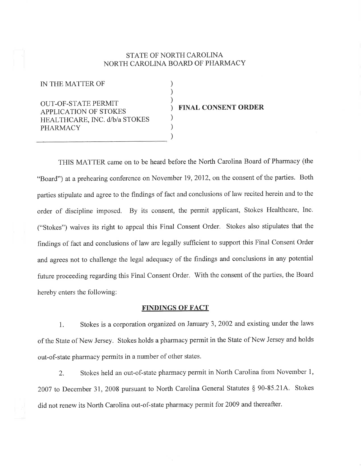# STATE OF NORTH CAROLINA NORTH CAROLINA BOARD OF PHARMACY

) ) ) ) )

) )

IN THE MATTER OF

OUT-OF-STATE PERMIT APPLICATION OF STOKES HEALTHCARE, INC. d/b/a STOKES PHARMACY

## FINAL CONSENT ORDER

THIS MATTER came on to be heard before the North Carolina Board of Pharmacy (the "Board") at a prehearing conference on November 19, 2012, on the consent of the parties. Both parties stipulate and agree to the findings of fact and conclusions of law recited herein and to the order of discipline imposed. By its consent, the permit applicant, Stokes Healthcare, Inc. ("Stokes") waives its right to appeal this Final Consent Order. Stokes also stipulates that the findings of fact and conclusions of law are legally sufficient to support this Final Consent Order and agrees not to challenge the legal adequacy of the findings and conclusions in any potential future proceeding regarding this Final Consent Order. With the consent of the parties, the Board hereby enters the following:

### FINDINGS OF FACT

1. Stokes is a corporation organized on January 3, 2002 and existing under the laws of the State of New Jersey. Stokes holds a pharmacy permit in the State of New Jersey and holds out-of-state pharmacy permits in a number of other states.

2. Stokes held an out-of-state pharmacy permit in North Carolina from November 1, 2007 to December 31, 2008 pursuant to North Carolina General Statutes § 90-85.21A. Stokes did not renew its North Carolina out-of-state pharmacy permit for 2009 and thereafter.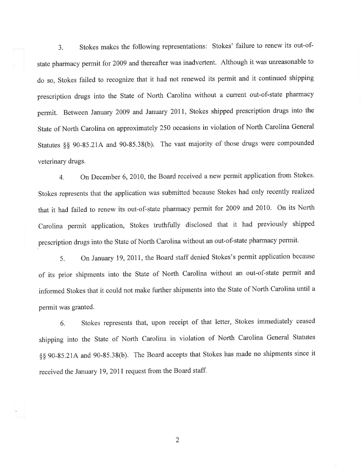3. Stokes makes the following representations: Stokes' failure to renew its out-ofstate pharmacy permit for 2009 and thereafter was inadvertent. Although it was unreasonable to do so, Stokes failed to recognize that it had not renewed its permit and it continued shipping prescription drugs into the State of North Carolina without a current out-of-state pharmacy permit. Between January 2009 and January 2011, Stokes shipped prescription drugs into the State of North Carolina on approximately 250 occasions in violation of North Carolina General Statutes \$\$ 90-35.214 and 90-85.38(b). The vast majority of those drugs were compounded veterinary drugs.

4. On December 6, 2010, the Board received a new permit application from Stokes. Stokes represents that the application was submitted because Stokes had only recently realized that it had failed to renew its out-of-state pharmacy permit for 2009 and 2010. On its North Carolina permit application, Stokes truthfully disclosed that it had previously shipped prescription drugs into the State of North Carolina without an out-of-state pharmacy permit.

5. On January 19, 2011, the Board staff denied Stokes's permit application because of its prior shipments into the State of North Carolina without an out-of-state permit and informed Stokes that it could not make further shipments into the State of North Carolina until a permit was granted.

6. Stokes represents that, upon receipt of that letter, Stokes immediately ceased shipping into the State of North Carolina in violation of North Carolina General Statutes \$\$ 90-85.214 and 90-85.3S(b). The Board accepts that Stokes has made no shipments since it received the January 19, 2011 request from the Board staff.

2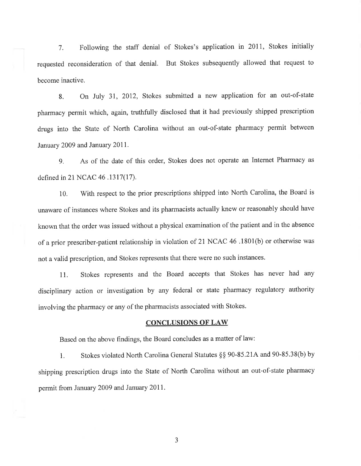l. Following the staff denial of Stokes's application in 2011, Stokes initially requested reconsideration of that denial. But Stokes subsequently allowed that request to become inactive.

8. On July 3I, 2012, Stokes submitted a new application for an out-of-state pharmacy permit which, again, truthfully disclosed that it had previously shipped prescription drugs into the State of North Carolina without an out-of-state pharmacy permit between January 2009 and January 2011.

g. As of the date of this order, Stokes does not operate an Internet Pharmacy as defined in 21 NCAC 46 .1317(17).

10. With respect to the prior prescriptions shipped into North Carolina, the Board is unaware of instances where Stokes and its pharmacists actually knew or reasonably should have known that the order was issued without a physical examination of the patient and in the absence of a prior prescriber-patient relationship in violation of 21 NCAC 46 .1801(b) or otherwise was not a valid prescription, and Stokes represents that there were no such instances.

11. Stokes represents and the Board accepts that Stokes has never had any disciplinary action or investigation by any federal or state pharmacy regulatory authority involving the pharmacy or any of the pharmacists associated with Stokes.

#### **CONCLUSIONS OF LAW**

Based on the above findings, the Board concludes as a matter of law:

l. Stokes violated North Carolina General Statutes \$\$ 90-85.214 and 90-85.38(b) by shipping prescription drugs into the State of North Carolina without an out-of-state pharmacy permit from January 2009 and January 2011.

3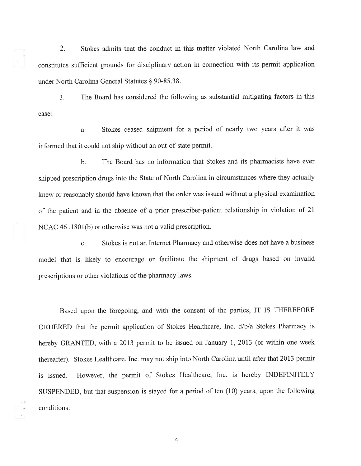2. Stokes admits that the conduct in this matter violated North Carolina law and constitutes sufficient grounds for disciplinary action in connection with its permit application under North Carolina General Statutes § 90-85.38.

3. The Board has considered the following as substantial mitigating factors in this case:

a Stokes ceased shipment for a period of nearly two years after it was informed that it could not ship without an out-of-state permit.

b. The Board has no information that Stokes and its pharmacists have ever shipped prescription drugs into the State of North Carolina in circumstances where they actually knew or reasonably should have known that the order was issued without a physical examination of the patient and in the absence of a prior prescriber-patient relationship in violation of 2l NCAC 46 .1801(b) or otherwise was not a valid prescription.

c. Stokes is not an Internet Pharmacy and otherwise does not have a business model that is likely to encourage or facilitate the shipment of drugs based on invalid prescriptions or other violations of the pharmacy laws.

Based upon the foregoing, and with the consent of the parties, IT IS THEREFORE ORDERED that the permit application of Stokes Healthcare, Inc. d/b/a Stokes Pharmacy is hereby GRANTED, with a 2013 permit to be issued on January 1, 2013 (or within one week thereafter). Stokes Healthcare, Inc. may not ship into North Carolina until after that 2013 permit is issued. However, the permit of Stokes Healthcare, Inc. is hereby INDEFINITELY SUSPENDED, but that suspension is stayed for a period of ten (10) years, upon the following conditions:

4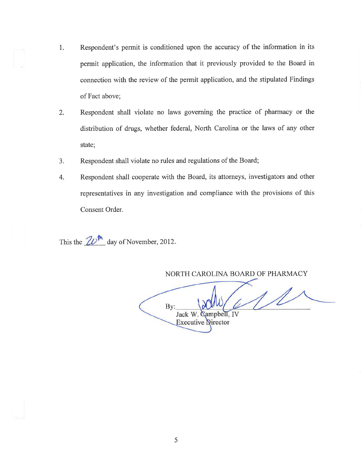- 1. Respondent's permit is conditioned upon the accuracy of the information in its permit application, the information that it previously provided to the Board in connection with the review of the permit application, and the stipulated Findings of Fact above;
- Respondent shall violate no laws governing the practice of pharmacy or the distribution of drugs, whether federal, North Carolina or the laws of any other state; 2
- Respondent shall violate no rules and regulations of the Board; a J
- Respondent shall cooperate with the Board, its attorneys, investigators and other representatives in any investigation and compliance with the provisions of this Consent Order. 4

This the  $2\nu^{\text{th}}$  day of November, 2012.

NORTH CAROLINA BOARD OF PHARMACY

 $1/$ By: Jack W. ampbell. IV **Executive Director**